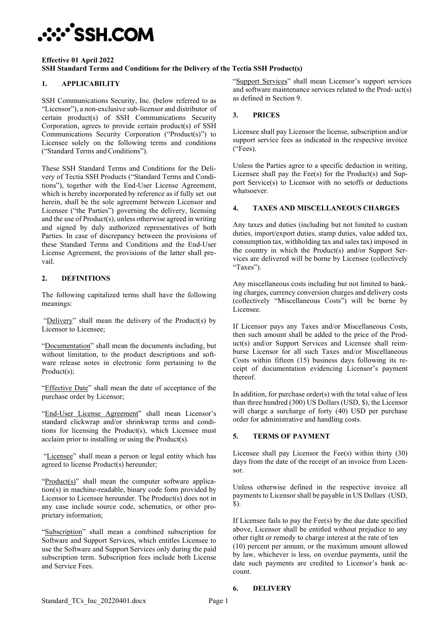# **:::`SSH.COM**

#### **Effective 01 April 2022 SSH Standard Terms and Conditions for the Delivery of the Tectia SSH Product(s)**

### **1. APPLICABILITY**

SSH Communications Security, Inc. (below referred to as "Licensor"), a non-exclusive sub-licensor and distributor of certain product(s) of SSH Communications Security Corporation, agrees to provide certain product(s) of SSH Communications Security Corporation ("Product(s)") to Licensee solely on the following terms and conditions ("Standard Terms and Conditions").

These SSH Standard Terms and Conditions for the Delivery of Tectia SSH Products ("Standard Terms and Conditions"), together with the End-User License Agreement, which is hereby incorporated by reference as if fully set out herein, shall be the sole agreement between Licensor and Licensee ("the Parties") governing the delivery, licensing and the use of Product(s), unless otherwise agreed in writing and signed by duly authorized representatives of both Parties. In case of discrepancy between the provisions of these Standard Terms and Conditions and the End-User License Agreement, the provisions of the latter shall prevail.

### **2. DEFINITIONS**

The following capitalized terms shall have the following meanings:

"Delivery" shall mean the delivery of the Product(s) by Licensor to Licensee;

"Documentation" shall mean the documents including, but without limitation, to the product descriptions and software release notes in electronic form pertaining to the Product(s);

"Effective Date" shall mean the date of acceptance of the purchase order by Licensor;

"End-User License Agreement" shall mean Licensor's standard clickwrap and/or shrinkwrap terms and conditions for licensing the Product(s), which Licensee must acclaim prior to installing or using the Product(s).

"Licensee" shall mean a person or legal entity which has agreed to license Product(s) hereunder;

"Product(s)" shall mean the computer software application(s) in machine-readable, binary code form provided by Licensor to Licensee hereunder. The Product(s) does not in any case include source code, schematics, or other proprietary information;

"Subscription" shall mean a combined subscription for Software and Support Services, which entitles Licensee to use the Software and Support Services only during the paid subscription term. Subscription fees include both License and Service Fees.

"Support Services" shall mean Licensor's support services and software maintenance services related to the Prod- uct(s) as defined in Section 9.

#### **3. PRICES**

Licensee shall pay Licensor the license, subscription and/or support service fees as indicated in the respective invoice ("Fees).

Unless the Parties agree to a specific deduction in writing, Licensee shall pay the Fee(s) for the Product(s) and Support Service(s) to Licensor with no setoffs or deductions whatsoever.

#### **4. TAXES AND MISCELLANEOUS CHARGES**

Any taxes and duties (including but not limited to custom duties, import/export duties, stamp duties, value added tax, consumption tax, withholding tax and sales tax) imposed in the country in which the Product(s) and/or Support Services are delivered will be borne by Licensee (collectively "Taxes").

Any miscellaneous costs including but not limited to banking charges, currency conversion charges and delivery costs (collectively "Miscellaneous Costs") will be borne by Licensee.

If Licensor pays any Taxes and/or Miscellaneous Costs, then such amount shall be added to the price of the Product(s) and/or Support Services and Licensee shall reimburse Licensor for all such Taxes and/or Miscellaneous Costs within fifteen (15) business days following its receipt of documentation evidencing Licensor's payment thereof.

In addition, for purchase order(s) with the total value of less than three hundred (300) US Dollars (USD, \$), the Licensor will charge a surcharge of forty (40) USD per purchase order for administrative and handling costs.

#### **5. TERMS OF PAYMENT**

Licensee shall pay Licensor the Fee(s) within thirty (30) days from the date of the receipt of an invoice from Licensor.

Unless otherwise defined in the respective invoice all payments to Licensor shall be payable in US Dollars (USD, \$).

If Licensee fails to pay the  $\text{Fee}(s)$  by the due date specified above, Licensor shall be entitled without prejudice to any other right or remedy to charge interest at the rate of ten (10) percent per annum, or the maximum amount allowed by law, whichever is less, on overdue payments, until the date such payments are credited to Licensor's bank account.

#### **6. DELIVERY**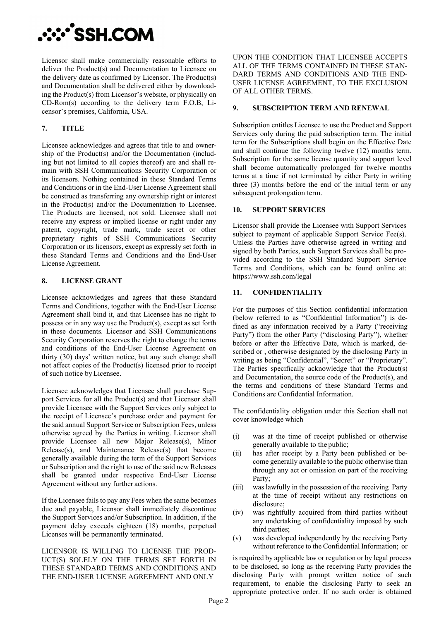# **XY'SSH.COM**

Licensor shall make commercially reasonable efforts to deliver the Product(s) and Documentation to Licensee on the delivery date as confirmed by Licensor. The Product(s) and Documentation shall be delivered either by downloading the Product(s) from Licensor's website, or physically on CD-Rom(s) according to the delivery term F.O.B, Licensor's premises, California, USA.

# **7. TITLE**

Licensee acknowledges and agrees that title to and ownership of the Product(s) and/or the Documentation (including but not limited to all copies thereof) are and shall remain with SSH Communications Security Corporation or its licensors. Nothing contained in these Standard Terms and Conditions or in the End-User License Agreement shall be construed as transferring any ownership right or interest in the Product(s) and/or the Documentation to Licensee. The Products are licensed, not sold. Licensee shall not receive any express or implied license or right under any patent, copyright, trade mark, trade secret or other proprietary rights of SSH Communications Security Corporation or its licensors, except as expressly set forth in these Standard Terms and Conditions and the End-User License Agreement.

# **8. LICENSE GRANT**

Licensee acknowledges and agrees that these Standard Terms and Conditions, together with the End-User License Agreement shall bind it, and that Licensee has no right to possess or in any way use the Product(s), except as set forth in these documents. Licensor and SSH Communications Security Corporation reserves the right to change the terms and conditions of the End-User License Agreement on thirty (30) days' written notice, but any such change shall not affect copies of the Product(s) licensed prior to receipt of such notice byLicensee.

Licensee acknowledges that Licensee shall purchase Support Services for all the Product(s) and that Licensor shall provide Licensee with the Support Services only subject to the receipt of Licensee's purchase order and payment for the said annual Support Service or Subscription Fees, unless otherwise agreed by the Parties in writing. Licensor shall provide Licensee all new Major Release(s), Minor Release(s), and Maintenance Release(s) that become generally available during the term of the Support Services or Subscription and the right to use of the said new Releases shall be granted under respective End-User License Agreement without any further actions.

If the Licensee fails to pay any Fees when the same becomes due and payable, Licensor shall immediately discontinue the Support Services and/or Subscription. In addition, if the payment delay exceeds eighteen (18) months, perpetual Licenses will be permanently terminated.

LICENSOR IS WILLING TO LICENSE THE PROD-UCT(S) SOLELY ON THE TERMS SET FORTH IN THESE STANDARD TERMS AND CONDITIONS AND THE END-USER LICENSE AGREEMENT AND ONLY

UPON THE CONDITION THAT LICENSEE ACCEPTS ALL OF THE TERMS CONTAINED IN THESE STAN-DARD TERMS AND CONDITIONS AND THE END-USER LICENSE AGREEMENT, TO THE EXCLUSION OF ALL OTHER TERMS.

### **9. SUBSCRIPTION TERM AND RENEWAL**

Subscription entitles Licensee to use the Product and Support Services only during the paid subscription term. The initial term for the Subscriptions shall begin on the Effective Date and shall continue the following twelve (12) months term. Subscription for the same license quantity and support level shall become automatically prolonged for twelve months terms at a time if not terminated by either Party in writing three (3) months before the end of the initial term or any subsequent prolongation term.

# **10. SUPPORT SERVICES**

Licensor shall provide the Licensee with Support Services subject to payment of applicable Support Service Fee(s). Unless the Parties have otherwise agreed in writing and signed by both Parties, such Support Services shall be provided according to the SSH Standard Support Service Terms and Conditions, which can be found online at: https://www.ssh.com/legal

# **11. CONFIDENTIALITY**

For the purposes of this Section confidential information (below referred to as "Confidential Information") is defined as any information received by a Party ("receiving Party") from the other Party ("disclosing Party"), whether before or after the Effective Date, which is marked, described or , otherwise designated by the disclosing Party in writing as being "Confidential", "Secret" or "Proprietary". The Parties specifically acknowledge that the Product(s) and Documentation, the source code of the Product(s), and the terms and conditions of these Standard Terms and Conditions are Confidential Information.

The confidentiality obligation under this Section shall not cover knowledge which

- (i) was at the time of receipt published or otherwise generally available to the public;
- (ii) has after receipt by a Party been published or become generally available to the public otherwise than through any act or omission on part of the receiving Party;
- (iii) was lawfully in the possession of the receiving Party at the time of receipt without any restrictions on disclosure;
- (iv) was rightfully acquired from third parties without any undertaking of confidentiality imposed by such third parties;
- (v) was developed independently by the receiving Party without reference to the Confidential Information; or

is required by applicable law or regulation or by legal process to be disclosed, so long as the receiving Party provides the disclosing Party with prompt written notice of such requirement, to enable the disclosing Party to seek an appropriate protective order. If no such order is obtained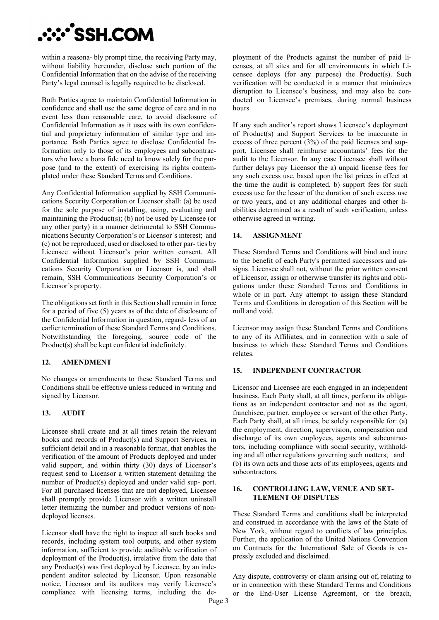# **XY'SSH.COM**

within a reasona- bly prompt time, the receiving Party may, without liability hereunder, disclose such portion of the Confidential Information that on the advise of the receiving Party's legal counsel is legally required to be disclosed.

Both Parties agree to maintain Confidential Information in confidence and shall use the same degree of care and in no event less than reasonable care, to avoid disclosure of Confidential Information as it uses with its own confidential and proprietary information of similar type and importance. Both Parties agree to disclose Confidential Information only to those of its employees and subcontractors who have a bona fide need to know solely for the purpose (and to the extent) of exercising its rights contemplated under these Standard Terms and Conditions.

Any Confidential Information supplied by SSH Communications Security Corporation or Licensor shall: (a) be used for the sole purpose of installing, using, evaluating and maintaining the Product(s); (b) not be used by Licensee (or any other party) in a manner detrimental to SSH Communications Security Corporation's or Licensor´s interest; and (c) not be reproduced, used or disclosed to other par- ties by Licensee without Licensor's prior written consent. All Confidential Information supplied by SSH Communications Security Corporation or Licensor is, and shall remain, SSH Communications Security Corporation's or Licensor´s property.

The obligations set forth in this Section shall remain in force for a period of five (5) years as of the date of disclosure of the Confidential Information in question, regard- less of an earlier termination of these Standard Terms and Conditions. Notwithstanding the foregoing, source code of the Product(s) shall be kept confidential indefinitely.

# **12. AMENDMENT**

No changes or amendments to these Standard Terms and Conditions shall be effective unless reduced in writing and signed by Licensor.

# **13. AUDIT**

Licensee shall create and at all times retain the relevant books and records of Product(s) and Support Services, in sufficient detail and in a reasonable format, that enables the verification of the amount of Products deployed and under valid support, and within thirty (30) days of Licensor's request send to Licensor a written statement detailing the number of Product(s) deployed and under valid sup- port. For all purchased licenses that are not deployed, Licensee shall promptly provide Licensor with a written uninstall letter itemizing the number and product versions of nondeployed licenses.

Licensor shall have the right to inspect all such books and records, including system tool outputs, and other system information, sufficient to provide auditable verification of deployment of the Product(s), irrelative from the date that any Product(s) was first deployed by Licensee, by an independent auditor selected by Licensor. Upon reasonable notice, Licensor and its auditors may verify Licensee's compliance with licensing terms, including the deployment of the Products against the number of paid licenses, at all sites and for all environments in which Licensee deploys (for any purpose) the Product(s). Such verification will be conducted in a manner that minimizes disruption to Licensee's business, and may also be conducted on Licensee's premises, during normal business hours.

If any such auditor's report shows Licensee's deployment of Product(s) and Support Services to be inaccurate in excess of three percent (3%) of the paid licenses and support, Licensee shall reimburse accountants' fees for the audit to the Licensor. In any case Licensee shall without further delays pay Licensor the a) unpaid license fees for any such excess use, based upon the list prices in effect at the time the audit is completed, b) support fees for such excess use for the lesser of the duration of such excess use or two years, and c) any additional charges and other liabilities determined as a result of such verification, unless otherwise agreed in writing.

#### **14. ASSIGNMENT**

These Standard Terms and Conditions will bind and inure to the benefit of each Party's permitted successors and assigns. Licensee shall not, without the prior written consent of Licensor, assign or otherwise transfer its rights and obligations under these Standard Terms and Conditions in whole or in part. Any attempt to assign these Standard Terms and Conditions in derogation of this Section will be null and void.

Licensor may assign these Standard Terms and Conditions to any of its Affiliates, and in connection with a sale of business to which these Standard Terms and Conditions relates.

#### **15. INDEPENDENT CONTRACTOR**

Licensor and Licensee are each engaged in an independent business. Each Party shall, at all times, perform its obligations as an independent contractor and not as the agent, franchisee, partner, employee or servant of the other Party. Each Party shall, at all times, be solely responsible for: (a) the employment, direction, supervision, compensation and discharge of its own employees, agents and subcontractors, including compliance with social security, withholding and all other regulations governing such matters; and (b) its own acts and those acts of its employees, agents and subcontractors.

#### **16. CONTROLLING LAW, VENUE AND SET-TLEMENT OF DISPUTES**

These Standard Terms and conditions shall be interpreted and construed in accordance with the laws of the State of New York, without regard to conflicts of law principles. Further, the application of the United Nations Convention on Contracts for the International Sale of Goods is expressly excluded and disclaimed.

Any dispute, controversy or claim arising out of, relating to or in connection with these Standard Terms and Conditions or the End-User License Agreement, or the breach,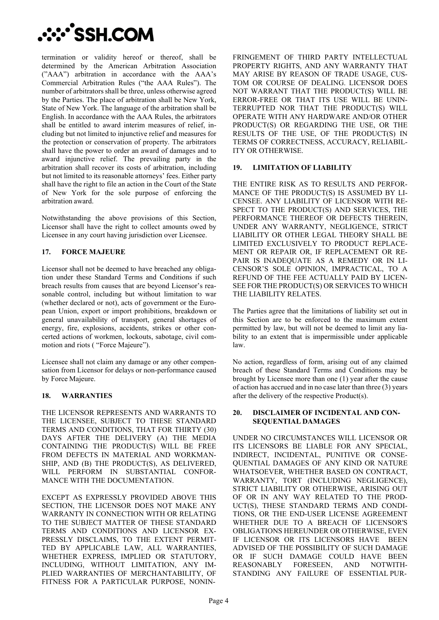

termination or validity hereof or thereof, shall be determined by the American Arbitration Association ("AAA") arbitration in accordance with the AAA's Commercial Arbitration Rules ("the AAA Rules"). The number of arbitrators shall be three, unless otherwise agreed by the Parties. The place of arbitration shall be New York, State of New York. The language of the arbitration shall be English. In accordance with the AAA Rules, the arbitrators shall be entitled to award interim measures of relief, including but not limited to injunctive relief and measures for the protection or conservation of property. The arbitrators shall have the power to order an award of damages and to award injunctive relief. The prevailing party in the arbitration shall recover its costs of arbitration, including but not limited to its reasonable attorneys' fees. Either party shall have the right to file an action in the Court of the State of New York for the sole purpose of enforcing the arbitration award.

Notwithstanding the above provisions of this Section, Licensor shall have the right to collect amounts owed by Licensee in any court having jurisdiction over Licensee.

# **17. FORCE MAJEURE**

Licensor shall not be deemed to have breached any obligation under these Standard Terms and Conditions if such breach results from causes that are beyond Licensor's reasonable control, including but without limitation to war (whether declared or not), acts of government or the European Union, export or import prohibitions, breakdown or general unavailability of transport, general shortages of energy, fire, explosions, accidents, strikes or other concerted actions of workmen, lockouts, sabotage, civil commotion and riots ( "Force Majeure").

Licensee shall not claim any damage or any other compensation from Licensor for delays or non-performance caused by Force Majeure.

#### **18. WARRANTIES**

THE LICENSOR REPRESENTS AND WARRANTS TO THE LICENSEE, SUBJECT TO THESE STANDARD TERMS AND CONDITIONS, THAT FOR THIRTY (30) DAYS AFTER THE DELIVERY (A) THE MEDIA CONTAINING THE PRODUCT(S) WILL BE FREE FROM DEFECTS IN MATERIAL AND WORKMAN-SHIP, AND (B) THE PRODUCT(S), AS DELIVERED, WILL PERFORM IN SUBSTANTIAL CONFOR-MANCE WITH THE DOCUMENTATION.

EXCEPT AS EXPRESSLY PROVIDED ABOVE THIS SECTION, THE LICENSOR DOES NOT MAKE ANY WARRANTY IN CONNECTION WITH OR RELATING TO THE SUBJECT MATTER OF THESE STANDARD TERMS AND CONDITIONS AND LICENSOR EX-PRESSLY DISCLAIMS, TO THE EXTENT PERMIT-TED BY APPLICABLE LAW, ALL WARRANTIES, WHETHER EXPRESS, IMPLIED OR STATUTORY, INCLUDING, WITHOUT LIMITATION, ANY IM-PLIED WARRANTIES OF MERCHANTABILITY, OF FITNESS FOR A PARTICULAR PURPOSE, NONIN- FRINGEMENT OF THIRD PARTY INTELLECTUAL PROPERTY RIGHTS, AND ANY WARRANTY THAT MAY ARISE BY REASON OF TRADE USAGE, CUS-TOM OR COURSE OF DEALING. LICENSOR DOES NOT WARRANT THAT THE PRODUCT(S) WILL BE ERROR-FREE OR THAT ITS USE WILL BE UNIN-TERRUPTED NOR THAT THE PRODUCT(S) WILL OPERATE WITH ANY HARDWARE AND/OR OTHER PRODUCT(S) OR REGARDING THE USE, OR THE RESULTS OF THE USE, OF THE PRODUCT(S) IN TERMS OF CORRECTNESS, ACCURACY, RELIABIL-ITY OR OTHERWISE.

#### **19. LIMITATION OF LIABILITY**

THE ENTIRE RISK AS TO RESULTS AND PERFOR-MANCE OF THE PRODUCT(S) IS ASSUMED BY LI-CENSEE. ANY LIABILITY OF LICENSOR WITH RE-SPECT TO THE PRODUCT(S) AND SERVICES, THE PERFORMANCE THEREOF OR DEFECTS THEREIN, UNDER ANY WARRANTY, NEGLIGENCE, STRICT LIABILITY OR OTHER LEGAL THEORY SHALL BE LIMITED EXCLUSIVELY TO PRODUCT REPLACE-MENT OR REPAIR OR, IF REPLACEMENT OR RE-PAIR IS INADEQUATE AS A REMEDY OR IN LI-CENSOR'S SOLE OPINION, IMPRACTICAL, TO A REFUND OF THE FEE ACTUALLY PAID BY LICEN-SEE FOR THE PRODUCT(S) OR SERVICES TO WHICH THE LIABILITY RELATES.

The Parties agree that the limitations of liability set out in this Section are to be enforced to the maximum extent permitted by law, but will not be deemed to limit any liability to an extent that is impermissible under applicable law.

No action, regardless of form, arising out of any claimed breach of these Standard Terms and Conditions may be brought by Licensee more than one (1) year after the cause of action has accrued and in no case later than three (3) years after the delivery of the respective Product(s).

#### **20. DISCLAIMER OF INCIDENTAL AND CON-SEQUENTIAL DAMAGES**

UNDER NO CIRCUMSTANCES WILL LICENSOR OR ITS LICENSORS BE LIABLE FOR ANY SPECIAL, INDIRECT, INCIDENTAL, PUNITIVE OR CONSE-QUENTIAL DAMAGES OF ANY KIND OR NATURE WHATSOEVER, WHETHER BASED ON CONTRACT, WARRANTY, TORT (INCLUDING NEGLIGENCE), STRICT LIABILITY OR OTHERWISE, ARISING OUT OF OR IN ANY WAY RELATED TO THE PROD-UCT(S), THESE STANDARD TERMS AND CONDI-TIONS, OR THE END-USER LICENSE AGREEMENT WHETHER DUE TO A BREACH OF LICENSOR'S OBLIGATIONS HEREUNDER OR OTHERWISE, EVEN IF LICENSOR OR ITS LICENSORS HAVE BEEN ADVISED OF THE POSSIBILITY OF SUCH DAMAGE OR IF SUCH DAMAGE COULD HAVE BEEN REASONABLY FORESEEN, AND NOTWITH-STANDING ANY FAILURE OF ESSENTIAL PUR-